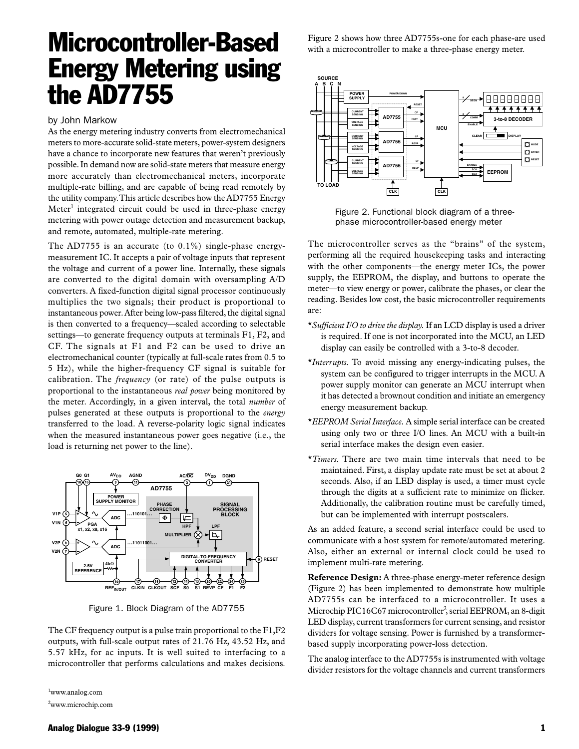## Microcontroller-Based Energy Metering using the AD7755

## by John Markow

As the energy metering industry converts from electromechanical meters to more-accurate solid-state meters, power-system designers have a chance to incorporate new features that weren't previously possible. In demand now are solid-state meters that measure energy more accurately than electromechanical meters, incorporate multiple-rate billing, and are capable of being read remotely by the utility company. This article describes how the AD7755 Energy Meter<sup>1</sup> integrated circuit could be used in three-phase energy metering with power outage detection and measurement backup, and remote, automated, multiple-rate metering.

The AD7755 is an accurate (to 0.1%) single-phase energymeasurement IC. It accepts a pair of voltage inputs that represent the voltage and current of a power line. Internally, these signals are converted to the digital domain with oversampling A/D converters. A fixed-function digital signal processor continuously multiplies the two signals; their product is proportional to instantaneous power. After being low-pass filtered, the digital signal is then converted to a frequency—scaled according to selectable settings—to generate frequency outputs at terminals F1, F2, and CF. The signals at F1 and F2 can be used to drive an electromechanical counter (typically at full-scale rates from 0.5 to 5 Hz), while the higher-frequency CF signal is suitable for calibration. The *frequency* (or rate) of the pulse outputs is proportional to the instantaneous *real power* being monitored by the meter. Accordingly, in a given interval, the total *number* of pulses generated at these outputs is proportional to the *energy* transferred to the load. A reverse-polarity logic signal indicates when the measured instantaneous power goes negative (i.e., the load is returning net power to the line).



Figure 1. Block Diagram of the AD7755

The CF frequency output is a pulse train proportional to the F1,F2 outputs, with full-scale output rates of 21.76 Hz, 43.52 Hz, and 5.57 kHz, for ac inputs. It is well suited to interfacing to a microcontroller that performs calculations and makes decisions.

1 www.analog.com

2 www.microchip.com

Figure 2 shows how three AD7755s-one for each phase-are used with a microcontroller to make a three-phase energy meter.



 Figure 2. Functional block diagram of a three phase microcontroller-based energy meter

The microcontroller serves as the "brains" of the system, performing all the required housekeeping tasks and interacting with the other components—the energy meter ICs, the power supply, the EEPROM, the display, and buttons to operate the meter—to view energy or power, calibrate the phases, or clear the reading. Besides low cost, the basic microcontroller requirements are:

- \**Sufficient I/O to drive the display.* If an LCD display is used a driver is required. If one is not incorporated into the MCU, an LED display can easily be controlled with a 3-to-8 decoder.
- \**Interrupts.* To avoid missing any energy-indicating pulses, the system can be configured to trigger interrupts in the MCU. A power supply monitor can generate an MCU interrupt when it has detected a brownout condition and initiate an emergency energy measurement backup.
- \**EEPROM Serial Interface.* A simple serial interface can be created using only two or three I/O lines. An MCU with a built-in serial interface makes the design even easier.
- \**Timers.* There are two main time intervals that need to be maintained. First, a display update rate must be set at about 2 seconds. Also, if an LED display is used, a timer must cycle through the digits at a sufficient rate to minimize on flicker. Additionally, the calibration routine must be carefully timed, but can be implemented with interrupt postscalers.

As an added feature, a second serial interface could be used to communicate with a host system for remote/automated metering. Also, either an external or internal clock could be used to implement multi-rate metering.

**Reference Design:** A three-phase energy-meter reference design (Figure 2) has been implemented to demonstrate how multiple AD7755s can be interfaced to a microcontroller. It uses a Microchip PIC16C67 microcontroller<sup>2</sup>, serial EEPROM, an 8-digit LED display, current transformers for current sensing, and resistor dividers for voltage sensing. Power is furnished by a transformerbased supply incorporating power-loss detection.

The analog interface to the AD7755s is instrumented with voltage divider resistors for the voltage channels and current transformers